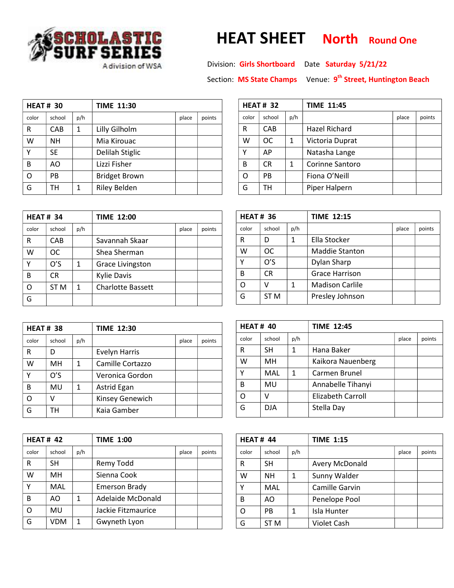

## **OLASTIC** HEAT SHEET North Round One<br>FSERIES

 $\mathbf{r}$ 

Section: **MS State Champs** Venue: 9<sup>th</sup> Street, Huntington Beach

| <b>HEAT#30</b> |           |     | <b>TIME 11:30</b>    |       |        |  |
|----------------|-----------|-----|----------------------|-------|--------|--|
| color          | school    | p/h |                      | place | points |  |
| R              | CAB       | 1   | Lilly Gilholm        |       |        |  |
| w              | NΗ        |     | Mia Kirouac          |       |        |  |
| γ              | <b>SE</b> |     | Delilah Stiglic      |       |        |  |
| В              | AΟ        |     | Lizzi Fisher         |       |        |  |
| റ              | PB        |     | <b>Bridget Brown</b> |       |        |  |
| G              | тн        | 1   | <b>Riley Belden</b>  |       |        |  |

| <b>HEAT#34</b> |                 |     | <b>TIME 12:00</b>        |       |        |  |
|----------------|-----------------|-----|--------------------------|-------|--------|--|
| color          | school          | p/h |                          | place | points |  |
| R              | CAB             |     | Savannah Skaar           |       |        |  |
| W              | ОC              |     | Shea Sherman             |       |        |  |
| γ              | O'S             | 1   | <b>Grace Livingston</b>  |       |        |  |
| B              | CR              |     | <b>Kylie Davis</b>       |       |        |  |
| റ              | ST <sub>M</sub> | 1   | <b>Charlotte Bassett</b> |       |        |  |
|                |                 |     |                          |       |        |  |

| <b>HEAT#38</b> |        |     | <b>TIME 12:30</b>    |       |        |
|----------------|--------|-----|----------------------|-------|--------|
| color          | school | p/h |                      | place | points |
| R              | D      |     | <b>Evelyn Harris</b> |       |        |
| w              | MН     | 1   | Camille Cortazzo     |       |        |
| Υ              | O'S    |     | Veronica Gordon      |       |        |
| в              | MU     | 1   | Astrid Egan          |       |        |
| ∩              | V      |     | Kinsey Genewich      |       |        |
| G              | тн     |     | Kaia Gamber          |       |        |

| <b>HEAT# 42</b> |            |     | <b>TIME 1:00</b>     |       |        |
|-----------------|------------|-----|----------------------|-------|--------|
| color           | school     | p/h |                      | place | points |
| R               | SН         |     | Remy Todd            |       |        |
| W               | MH         |     | Sienna Cook          |       |        |
| γ               | <b>MAL</b> |     | <b>Emerson Brady</b> |       |        |
| B               | AΟ         | 1   | Adelaide McDonald    |       |        |
| ∩               | MU         |     | Jackie Fitzmaurice   |       |        |
|                 | VDM        | 1   | Gwyneth Lyon         |       |        |

| <b>HEAT#32</b> |           |     | <b>TIME 11:45</b> |       |        |  |
|----------------|-----------|-----|-------------------|-------|--------|--|
| color          | school    | p/h |                   | place | points |  |
| R              | CAB       |     | Hazel Richard     |       |        |  |
| W              | <b>OC</b> | 1   | Victoria Duprat   |       |        |  |
| Υ              | AP        |     | Natasha Lange     |       |        |  |
| B              | <b>CR</b> | 1   | Corinne Santoro   |       |        |  |
| Ω              | PB        |     | Fiona O'Neill     |       |        |  |
| G              | тн        |     | Piper Halpern     |       |        |  |

| <b>HEAT#36</b> |                 |     | <b>TIME 12:15</b>      |       |        |  |
|----------------|-----------------|-----|------------------------|-------|--------|--|
| color          | school          | p/h |                        | place | points |  |
| R              | D               | 1   | Ella Stocker           |       |        |  |
| W              | ОC              |     | <b>Maddie Stanton</b>  |       |        |  |
| γ              | O'S             |     | Dylan Sharp            |       |        |  |
| B              | CR              |     | <b>Grace Harrison</b>  |       |        |  |
| O              |                 | 1   | <b>Madison Carlile</b> |       |        |  |
| G              | ST <sub>M</sub> |     | Presley Johnson        |       |        |  |

| <b>HEAT# 40</b> |           |     | <b>TIME 12:45</b> |       |        |  |
|-----------------|-----------|-----|-------------------|-------|--------|--|
| color           | school    | p/h |                   | place | points |  |
| R               | SН        | 1   | Hana Baker        |       |        |  |
| W               | <b>MH</b> |     | Kaikora Nauenberg |       |        |  |
| γ               | MAL       | 1   | Carmen Brunel     |       |        |  |
| В               | MU        |     | Annabelle Tihanyi |       |        |  |
| റ               | v         |     | Elizabeth Carroll |       |        |  |
| G               | DJA       |     | Stella Day        |       |        |  |

| <b>HEAT# 44</b> |        |     | <b>TIME 1:15</b>      |       |        |
|-----------------|--------|-----|-----------------------|-------|--------|
| color           | school | p/h |                       | place | points |
| R               | SН     |     | Avery McDonald        |       |        |
| W               | NН     | 1   | Sunny Walder          |       |        |
| Υ               | MAL    |     | <b>Camille Garvin</b> |       |        |
| B               | AO     |     | Penelope Pool         |       |        |
| റ               | PB     | 1   | Isla Hunter           |       |        |
| G               | ST M   |     | <b>Violet Cash</b>    |       |        |